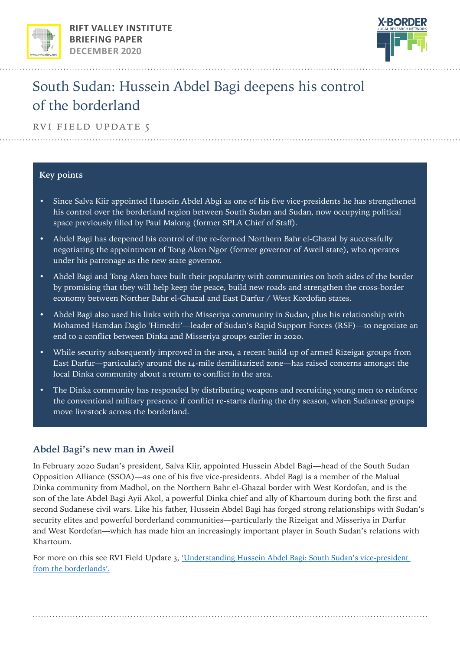

**RIFT VALLEY INSTITUTE BRIEFING PAPER DECEMBER 2020**



# South Sudan: Hussein Abdel Bagi deepens his control of the borderland

RVI FIELD UPDATE 5

#### **Key points**

- Since Salva Kiir appointed Hussein Abdel Abgi as one of his five vice-presidents he has strengthened his control over the borderland region between South Sudan and Sudan, now occupying political space previously filled by Paul Malong (former SPLA Chief of Staff).
- Abdel Bagi has deepened his control of the re-formed Northern Bahr el-Ghazal by successfully negotiating the appointment of Tong Aken Ngor (former governor of Aweil state), who operates under his patronage as the new state governor.
- Abdel Bagi and Tong Aken have built their popularity with communities on both sides of the border by promising that they will help keep the peace, build new roads and strengthen the cross-border economy between Norther Bahr el-Ghazal and East Darfur / West Kordofan states.
- Abdel Bagi also used his links with the Misseriya community in Sudan, plus his relationship with Mohamed Hamdan Daglo 'Himedti'—leader of Sudan's Rapid Support Forces (RSF)—to negotiate an end to a conflict between Dinka and Misseriya groups earlier in 2020.
- While security subsequently improved in the area, a recent build-up of armed Rizeigat groups from East Darfur—particularly around the 14-mile demilitarized zone—has raised concerns amongst the local Dinka community about a return to conflict in the area.
- The Dinka community has responded by distributing weapons and recruiting young men to reinforce the conventional military presence if conflict re-starts during the dry season, when Sudanese groups move livestock across the borderland.

## **Abdel Bagi's new man in Aweil**

In February 2020 Sudan's president, Salva Kiir, appointed Hussein Abdel Bagi—head of the South Sudan Opposition Alliance (SSOA)—as one of his five vice-presidents. Abdel Bagi is a member of the Malual Dinka community from Madhol, on the Northern Bahr el-Ghazal border with West Kordofan, and is the son of the late Abdel Bagi Ayii Akol, a powerful Dinka chief and ally of Khartoum during both the first and second Sudanese civil wars. Like his father, Hussein Abdel Bagi has forged strong relationships with Sudan's security elites and powerful borderland communities—particularly the Rizeigat and Misseriya in Darfur and West Kordofan—which has made him an increasingly important player in South Sudan's relations with Khartoum.

For more on this see RVI Field Update 3, ['Understanding Hussein Abdel Bagi: South Sudan's vice-president](https://riftvalley.net/publication/understanding-hussein-abdel-bagi-south-sudans-vice-president-borderlands)  [from the borderlands'.](https://riftvalley.net/publication/understanding-hussein-abdel-bagi-south-sudans-vice-president-borderlands)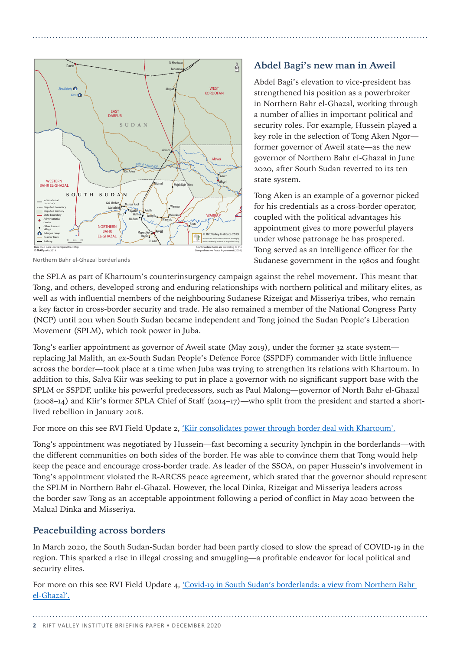

© **MAP***grax* 2019

Northern Bahr el-Ghazal borderlands

## **Abdel Bagi's new man in Aweil**

Abdel Bagi's elevation to vice-president has strengthened his position as a powerbroker in Northern Bahr el-Ghazal, working through a number of allies in important political and security roles. For example, Hussein played a key role in the selection of Tong Aken Ngor former governor of Aweil state—as the new governor of Northern Bahr el-Ghazal in June 2020, after South Sudan reverted to its ten state system.

Tong Aken is an example of a governor picked for his credentials as a cross-border operator, coupled with the political advantages his appointment gives to more powerful players under whose patronage he has prospered. Tong served as an intelligence officer for the Sudanese government in the 1980s and fought

the SPLA as part of Khartoum's counterinsurgency campaign against the rebel movement. This meant that Tong, and others, developed strong and enduring relationships with northern political and military elites, as well as with influential members of the neighbouring Sudanese Rizeigat and Misseriya tribes, who remain a key factor in cross-border security and trade. He also remained a member of the National Congress Party (NCP) until 2011 when South Sudan became independent and Tong joined the Sudan People's Liberation Movement (SPLM), which took power in Juba.

Tong's earlier appointment as governor of Aweil state (May 2019), under the former 32 state system replacing Jal Malith, an ex-South Sudan People's Defence Force (SSPDF) commander with little influence across the border—took place at a time when Juba was trying to strengthen its relations with Khartoum. In addition to this, Salva Kiir was seeking to put in place a governor with no significant support base with the SPLM or SSPDF, unlike his powerful predecessors, such as Paul Malong—governor of North Bahr el-Ghazal (2008–14) and Kiir's former SPLA Chief of Staff (2014–17)—who split from the president and started a shortlived rebellion in January 2018.

For more on this see RVI Field Update 2, ['Kiir consolidates power through border deal with Khartoum'.](https://riftvalley.net/index.php/publication/kiir-consolidates-power-through-border-deal-khartoum)

Tong's appointment was negotiated by Hussein—fast becoming a security lynchpin in the borderlands—with the different communities on both sides of the border. He was able to convince them that Tong would help keep the peace and encourage cross-border trade. As leader of the SSOA, on paper Hussein's involvement in Tong's appointment violated the R-ARCSS peace agreement, which stated that the governor should represent the SPLM in Northern Bahr el-Ghazal. However, the local Dinka, Rizeigat and Misseriya leaders across the border saw Tong as an acceptable appointment following a period of conflict in May 2020 between the Malual Dinka and Misseriya.

## **Peacebuilding across borders**

In March 2020, the South Sudan-Sudan border had been partly closed to slow the spread of COVID-19 in the region. This sparked a rise in illegal crossing and smuggling—a profitable endeavor for local political and security elites.

For more on this see RVI Field Update 4, ['Covid-19 in South Sudan's borderlands: a view from Northern Bahr](https://riftvalley.net/index.php/publication/covid-19-south-sudans-borderlands-view-northern-bahr-el-ghazal)  [el-Ghazal'.](https://riftvalley.net/index.php/publication/covid-19-south-sudans-borderlands-view-northern-bahr-el-ghazal)

**2** RIFT VALLEY INSTITUTE BRIEFING PAPER • DECEMBER 2020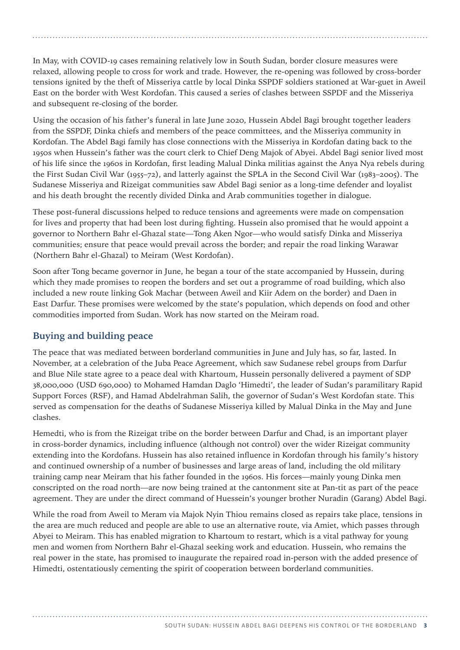In May, with COVID-19 cases remaining relatively low in South Sudan, border closure measures were relaxed, allowing people to cross for work and trade. However, the re-opening was followed by cross-border tensions ignited by the theft of Misseriya cattle by local Dinka SSPDF soldiers stationed at War-guet in Aweil East on the border with West Kordofan. This caused a series of clashes between SSPDF and the Misseriya and subsequent re-closing of the border.

Using the occasion of his father's funeral in late June 2020, Hussein Abdel Bagi brought together leaders from the SSPDF, Dinka chiefs and members of the peace committees, and the Misseriya community in Kordofan. The Abdel Bagi family has close connections with the Misseriya in Kordofan dating back to the 1950s when Hussein's father was the court clerk to Chief Deng Majok of Abyei. Abdel Bagi senior lived most of his life since the 1960s in Kordofan, first leading Malual Dinka militias against the Anya Nya rebels during the First Sudan Civil War (1955–72), and latterly against the SPLA in the Second Civil War (1983–2005). The Sudanese Misseriya and Rizeigat communities saw Abdel Bagi senior as a long-time defender and loyalist and his death brought the recently divided Dinka and Arab communities together in dialogue.

These post-funeral discussions helped to reduce tensions and agreements were made on compensation for lives and property that had been lost during fighting. Hussein also promised that he would appoint a governor to Northern Bahr el-Ghazal state—Tong Aken Ngor—who would satisfy Dinka and Misseriya communities; ensure that peace would prevail across the border; and repair the road linking Warawar (Northern Bahr el-Ghazal) to Meiram (West Kordofan).

Soon after Tong became governor in June, he began a tour of the state accompanied by Hussein, during which they made promises to reopen the borders and set out a programme of road building, which also included a new route linking Gok Machar (between Aweil and Kiir Adem on the border) and Daen in East Darfur. These promises were welcomed by the state's population, which depends on food and other commodities imported from Sudan. Work has now started on the Meiram road.

## **Buying and building peace**

The peace that was mediated between borderland communities in June and July has, so far, lasted. In November, at a celebration of the Juba Peace Agreement, which saw Sudanese rebel groups from Darfur and Blue Nile state agree to a peace deal with Khartoum, Hussein personally delivered a payment of SDP 38,000,000 (USD 690,000) to Mohamed Hamdan Daglo 'Himedti', the leader of Sudan's paramilitary Rapid Support Forces (RSF), and Hamad Abdelrahman Salih, the governor of Sudan's West Kordofan state. This served as compensation for the deaths of Sudanese Misseriya killed by Malual Dinka in the May and June clashes.

Hemedti, who is from the Rizeigat tribe on the border between Darfur and Chad, is an important player in cross-border dynamics, including influence (although not control) over the wider Rizeigat community extending into the Kordofans. Hussein has also retained influence in Kordofan through his family's history and continued ownership of a number of businesses and large areas of land, including the old military training camp near Meiram that his father founded in the 1960s. His forces—mainly young Dinka men conscripted on the road north—are now being trained at the cantonment site at Pan-tit as part of the peace agreement. They are under the direct command of Huessein's younger brother Nuradin (Garang) Abdel Bagi.

While the road from Aweil to Meram via Majok Nyin Thiou remains closed as repairs take place, tensions in the area are much reduced and people are able to use an alternative route, via Amiet, which passes through Abyei to Meiram. This has enabled migration to Khartoum to restart, which is a vital pathway for young men and women from Northern Bahr el-Ghazal seeking work and education. Hussein, who remains the real power in the state, has promised to inaugurate the repaired road in-person with the added presence of Himedti, ostentatiously cementing the spirit of cooperation between borderland communities.

SOUTH SUDAN: HUSSEIN ABDEL BAGI DEEPENS HIS CONTROL OF THE BORDERLAND **3**